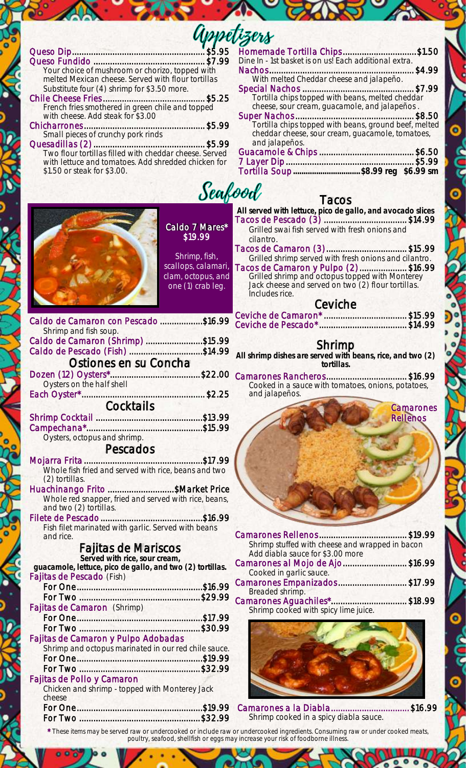| Your choice of mushroom or chorizo, topped with<br>melted Mexican cheese. Served with flour tortillas<br>French fries smothered in green chile and topped<br>with cheese. Add steak for \$3.00<br>with lettuce and tomatoes. Add shredded chicken for<br>\$1.50 or steak for \$3.00. | Homemade Tortilla Chips\$1.50<br>Dine In - 1st basket is on us! Each additional extra.<br>With melted Cheddar cheese and jalapeño.<br>Tortilla chips topped with beans, melted cheddar<br>cheese, sour cream, guacamole, and jalapeños.<br>Tortilla chips topped with beans, ground beef, melted<br>cheddar cheese, sour cream, guacamole, tomatoes,<br>and jalapeños.                                                          |
|--------------------------------------------------------------------------------------------------------------------------------------------------------------------------------------------------------------------------------------------------------------------------------------|---------------------------------------------------------------------------------------------------------------------------------------------------------------------------------------------------------------------------------------------------------------------------------------------------------------------------------------------------------------------------------------------------------------------------------|
| Seafood<br>Tacos                                                                                                                                                                                                                                                                     |                                                                                                                                                                                                                                                                                                                                                                                                                                 |
| Caldo 7 Mares*<br>\$19.99<br>Shrimp, fish,<br>scallops, calamari,<br>clam, octopus, and<br>one (1) crab leg.                                                                                                                                                                         | All served with lettuce, pico de gallo, and avocado slices<br>Tacos de Pescado (3) \$14.99<br>Grilled swai fish served with fresh onions and<br>cilantro.<br>Tacos de Camaron (3) \$15.99<br>Grilled shrimp served with fresh onions and cilantro.<br>Tacos de Camaron y Pulpo (2)\$16.99<br>Grilled shrimp and octopus topped with Monterey<br>Jack cheese and served on two (2) flour tortillas.<br>Includes rice.<br>Ceviche |
| Caldo de Camaron con Pescado \$16.99                                                                                                                                                                                                                                                 |                                                                                                                                                                                                                                                                                                                                                                                                                                 |
| Shrimp and fish soup.<br>Caldo de Camaron (Shrimp) \$15.99<br>Caldo de Pescado (Fish) \$14.99<br>Ostiones en su Concha<br>Oysters on the half shell                                                                                                                                  | Shrimp<br>All shrimp dishes are served with beans, rice, and two (2)<br>tortillas.<br>Dozen (12) Oysters*\$22.00 Camarones Rancheros\$16.99<br>Cooked in a sauce with tomatoes, onions, potatoes,                                                                                                                                                                                                                               |
| Cocktails                                                                                                                                                                                                                                                                            | and jalapeños.                                                                                                                                                                                                                                                                                                                                                                                                                  |
| Oysters, octopus and shrimp.<br>Pescados<br>(2) tortillas.<br>Huachinango Frito \$Market Price<br>Whole red snapper, fried and served with rice, beans,<br>and two (2) tortillas.<br>Fish filet marinated with garlic. Served with beans                                             | <b>Camarones</b><br><b>Rellenos</b>                                                                                                                                                                                                                                                                                                                                                                                             |
| and rice.                                                                                                                                                                                                                                                                            | Shrimp stuffed with cheese and wrapped in bacon                                                                                                                                                                                                                                                                                                                                                                                 |
| Fajitas de Mariscos<br>Served with rice, sour cream,                                                                                                                                                                                                                                 | Add diabla sauce for \$3.00 more                                                                                                                                                                                                                                                                                                                                                                                                |
| guacamole, lettuce, pico de gallo, and two (2) tortillas.<br>Fajitas de Pescado (Fish)                                                                                                                                                                                               | Camarones al Mojo de Ajo\$16.99<br>Cooked in garlic sauce.                                                                                                                                                                                                                                                                                                                                                                      |
|                                                                                                                                                                                                                                                                                      | Camarones Empanizados \$17.99<br>Breaded shrimp.                                                                                                                                                                                                                                                                                                                                                                                |
| Fajitas de Camaron (Shrimp)<br>Fajitas de Camaron y Pulpo Adobadas<br>Shrimp and octopus marinated in our red chile sauce.<br>Fajitas de Pollo y Camaron                                                                                                                             | Shrimp cooked with spicy lime juice.                                                                                                                                                                                                                                                                                                                                                                                            |
| Chicken and shrimp - topped with Monterey Jack<br>cheese                                                                                                                                                                                                                             |                                                                                                                                                                                                                                                                                                                                                                                                                                 |
| For One.                                                                                                                                                                                                                                                                             | \$19.99 Camarones a la Diabla<br>\$16.99<br>Shrimp cooked in a spicy diabla sauce.                                                                                                                                                                                                                                                                                                                                              |

್ತ್ಯೂ<sub>ಗಿಸಿ</sub>ಂ

 $\ddot{\bullet}$ 

o cons-

 $\bullet$ 

נכ

ö õ

 $\bullet$ 

 $\overline{\mathbf{o}}$ 

 $\bullet$  $\bullet$ ö

*\* These items may be served raw or undercooked or include raw or undercooked ingredients. Consuming raw or under cooked meats, poultry, seafood, shellfish or eggs may increase your risk of foodborne illness.*